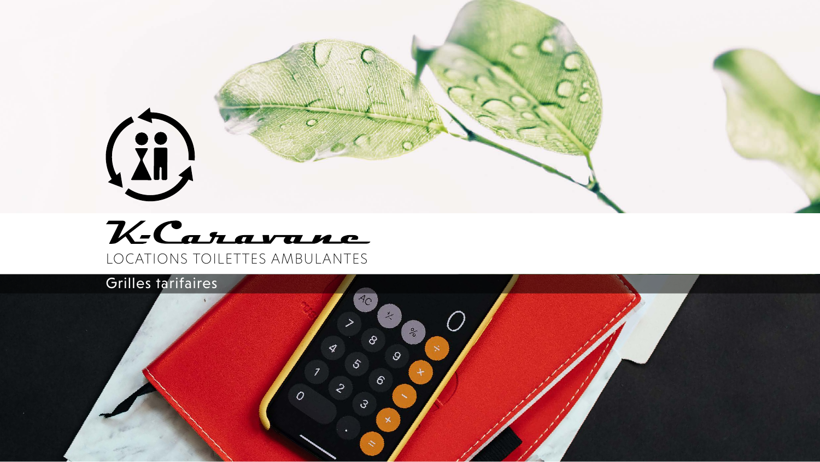

# KCaravane LOCATIONS TOILETTES AMBULANTES

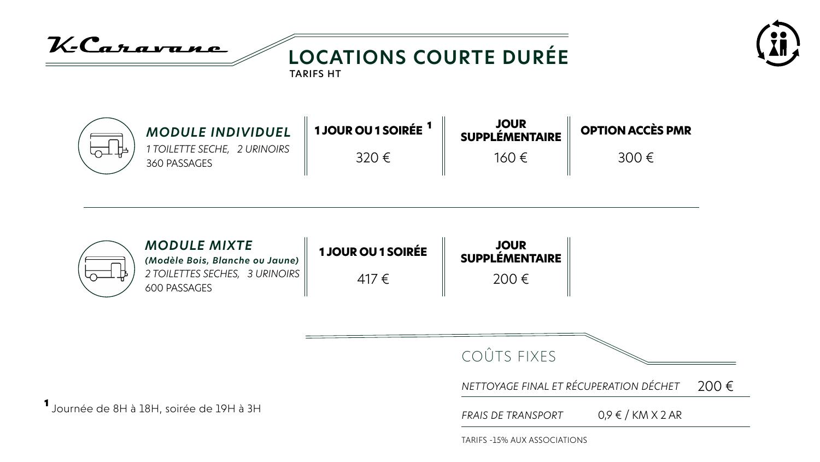<sup>1</sup> Journée de 8H à 18H, soirée de 19H à 3H

K-Caravane **LOCATIONS COURTE DURÉE** TARIFS HT



*1 TOILETTE SECHE, 2 URINOIRS MODULE INDIVIDUEL*

360 PASSAGES

*2 TOILETTES SECHES, 3 URINOIRS MODULE MIXTE (Modèle Bois, Blanche ou Jaune)* 600 PASSAGES

**1 JOUR OU 1 SOIRÉE** <sup>1</sup>

320 €

**JOUR SUPPLÉMENTAIRE** 160 €

### **OPTION ACCÈS PMR**

### 300 €



| 1 JOUR OU 1 SOIRÉE |  |
|--------------------|--|
| 417€               |  |



COÛTS FIXES

### *NETTOYAGE FINAL ET RÉCUPERATION DÉCHET* 200 €

*FRAIS DE TRANSPORT* 0,9 € / KM X 2 AR

TARIFS -15% AUX ASSOCIATIONS

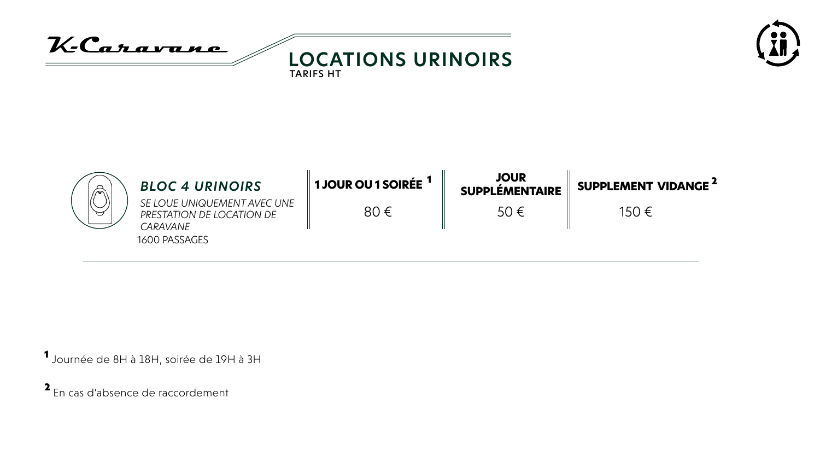<sup>1</sup> Journée de 8H à 18H, soirée de 19H à 3H

| ∕ିଚ | <b>BLOC 4 URINOIRS</b>                                                                | <b>1 JOUR OU 1 SOIRÉE</b> <sup>1</sup> | <b>JOUR</b><br><b>SUPPLÉMENTAIRE</b> | <b>SUPP</b> |
|-----|---------------------------------------------------------------------------------------|----------------------------------------|--------------------------------------|-------------|
| セ   | SE LOUE UNIQUEMENT AVEC UNE<br>PRESTATION DE LOCATION DE<br>CARAVANE<br>1600 PASSAGES | 80 $\in$                               | 50 $\in$                             |             |

KCaravane **LOCATIONS URINOIRS** TARIFS HT

150 €

<sup>2</sup> En cas d'absence de raccordement



## **PLEMENT VIDANGE<sup>2</sup>**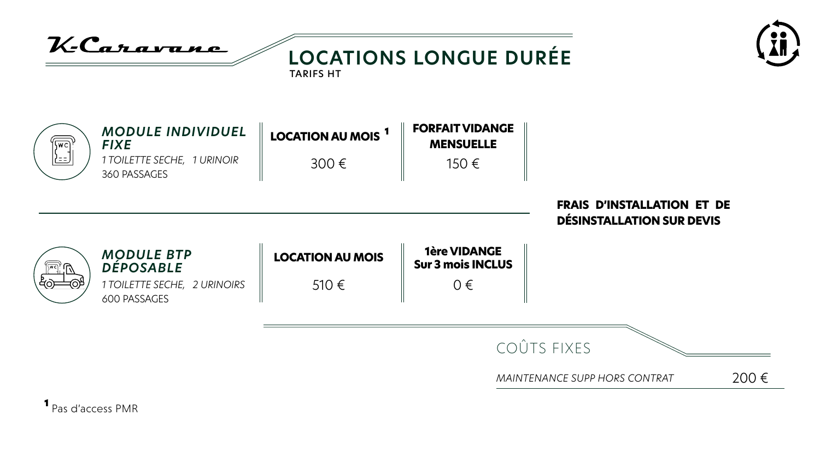

COÛTS FIXES

MAINTENANCE SUPP HORS CONTRAT

<sup>1</sup> Pas d'access PMR



### **FRAIS D'INSTALLATION ET DE DÉSINSTALLATION SUR DEVIS**



200€